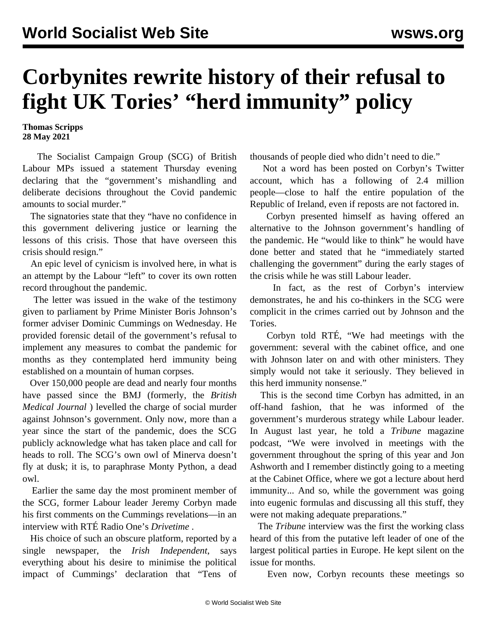## **Corbynites rewrite history of their refusal to fight UK Tories' "herd immunity" policy**

**Thomas Scripps 28 May 2021**

 The Socialist Campaign Group (SCG) of British Labour MPs issued a statement Thursday evening declaring that the "government's mishandling and deliberate decisions throughout the Covid pandemic amounts to social murder."

 The signatories state that they "have no confidence in this government delivering justice or learning the lessons of this crisis. Those that have overseen this crisis should resign."

 An epic level of cynicism is involved here, in what is an attempt by the Labour "left" to cover its own rotten record throughout the pandemic.

 The letter was issued in the wake of the testimony given to parliament by Prime Minister Boris Johnson's former adviser Dominic Cummings on Wednesday. He provided forensic detail of the government's refusal to implement any measures to combat the pandemic for months as they contemplated herd immunity being established on a mountain of human corpses.

 Over 150,000 people are dead and nearly four months have passed since the BMJ (formerly, the *British Medical Journal* ) levelled the charge of [social murder](/en/articles/2021/02/08/pers-f08.html) against Johnson's government. Only now, more than a year since the start of the pandemic, does the SCG publicly acknowledge what has taken place and call for heads to roll. The SCG's own owl of Minerva doesn't fly at dusk; it is, to paraphrase Monty Python, a dead owl.

 Earlier the same day the most prominent member of the SCG, former Labour leader Jeremy Corbyn made his first comments on the Cummings revelations—in an interview with RTÉ Radio One's *Drivetime* .

 His choice of such an obscure platform, reported by a single newspaper, the *Irish Independent*, says everything about his desire to minimise the political impact of Cummings' declaration that "Tens of thousands of people died who didn't need to die."

 Not a word has been posted on Corbyn's Twitter account, which has a following of 2.4 million people—close to half the entire population of the Republic of Ireland, even if reposts are not factored in.

 Corbyn presented himself as having offered an alternative to the Johnson government's handling of the pandemic. He "would like to think" he would have done better and stated that he "immediately started challenging the government" during the early stages of the crisis while he was still Labour leader.

 In fact, as the rest of Corbyn's interview demonstrates, he and his co-thinkers in the SCG were complicit in the crimes carried out by Johnson and the Tories.

 Corbyn told RTÉ, "We had meetings with the government: several with the cabinet office, and one with Johnson later on and with other ministers. They simply would not take it seriously. They believed in this herd immunity nonsense."

 This is the second time Corbyn has admitted, in an off-hand fashion, that he was informed of the government's murderous strategy while Labour leader. In August last year, he [told](/en/articles/2020/08/24/corb-a24.html) a *Tribune* magazine podcast, "We were involved in meetings with the government throughout the spring of this year and Jon Ashworth and I remember distinctly going to a meeting at the Cabinet Office, where we got a lecture about herd immunity... And so, while the government was going into eugenic formulas and discussing all this stuff, they were not making adequate preparations."

 The *Tribune* interview was the first the working class heard of this from the putative left leader of one of the largest political parties in Europe. He kept silent on the issue for months.

Even now, Corbyn recounts these meetings so